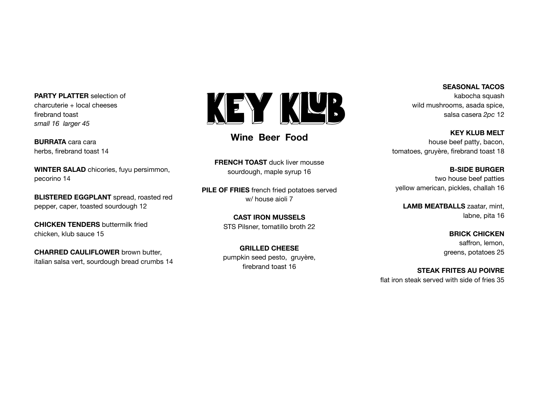**PARTY PLATTER** selection of charcuterie + local cheeses firebrand toast *small 16 larger 45*

**BURRATA** cara cara herbs, firebrand toast 14

**WINTER SALAD** chicories, fuyu persimmon, pecorino 14

**BLISTERED EGGPLANT** spread, roasted red pepper, caper, toasted sourdough 12

**CHICKEN TENDERS** buttermilk fried chicken, klub sauce 15

**CHARRED CAULIFLOWER** brown butter, italian salsa vert, sourdough bread crumbs 14



# **Wine Beer Food**

**FRENCH TOAST** duck liver mousse sourdough, maple syrup 16

**PILE OF FRIES** french fried potatoes served w/ house aioli 7

> **CAST IRON MUSSELS** STS Pilsner, tomatillo broth 22

> **GRILLED CHEESE** pumpkin seed pesto, gruyère, firebrand toast 16

### **SEASONAL TACOS**

kabocha squash wild mushrooms, asada spice, salsa casera *2pc* 12

**KEY KLUB MELT** house beef patty, bacon, tomatoes, gruyère, firebrand toast 18

**B-SIDE BURGER** two house beef patties yellow american, pickles, challah 16

**LAMB MEATBALLS** zaatar, mint, labne, pita 16

> **BRICK CHICKEN** saffron, lemon, greens, potatoes 25

**STEAK FRITES AU POIVRE** flat iron steak served with side of fries 35